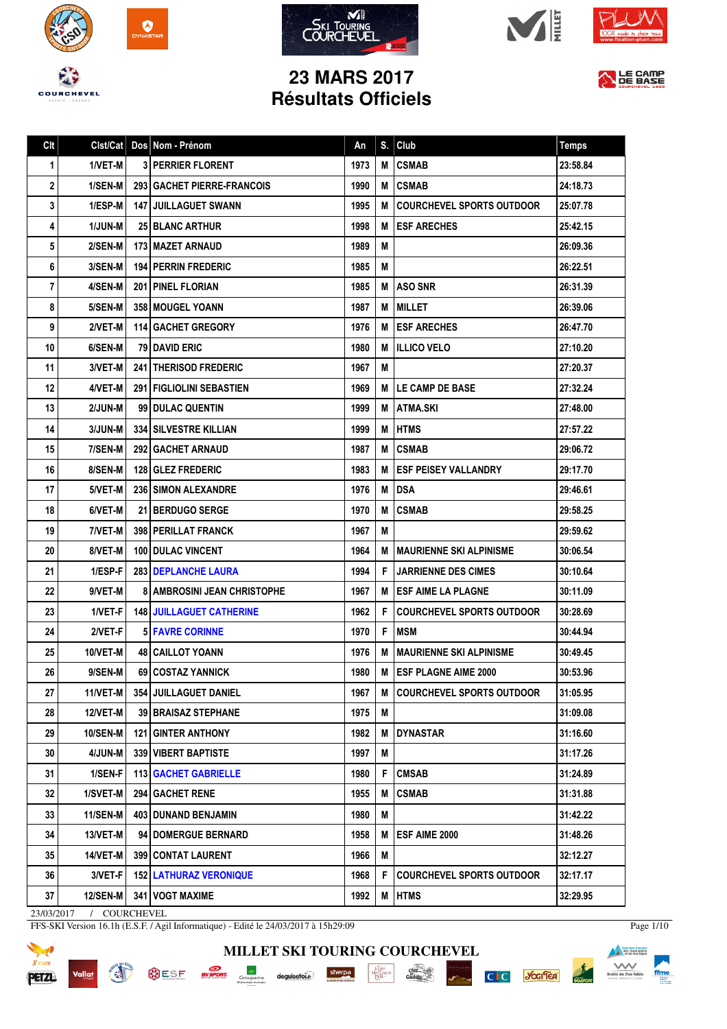











## **23 MARS 2017 Résultats Officiels**

| Clt | Clst/Cat        | Dos Nom - Prénom                     | An   | S. | Club                                | <b>Temps</b> |
|-----|-----------------|--------------------------------------|------|----|-------------------------------------|--------------|
| 1   | 1/VET-M         | <b>3 PERRIER FLORENT</b>             | 1973 | M  | <b>CSMAB</b>                        | 23:58.84     |
| 2   | 1/SEN-M         | 293 GACHET PIERRE-FRANCOIS           | 1990 | М  | <b>ICSMAB</b>                       | 24:18.73     |
| 3   | 1/ESP-M         | <b>147 JUILLAGUET SWANN</b>          | 1995 |    | <b>M ICOURCHEVEL SPORTS OUTDOOR</b> | 25:07.78     |
| 4   | <b>1/JUN-M</b>  | <b>25 BLANC ARTHUR</b>               | 1998 | М  | <b>IESF ARECHES</b>                 | 25:42.15     |
| 5   | 2/SEN-M         | <b>173 MAZET ARNAUD</b>              | 1989 | M  |                                     | 26:09.36     |
| 6   | 3/SEN-M         | <b>194 PERRIN FREDERIC</b>           | 1985 | M  |                                     | 26:22.51     |
| 7   | 4/SEN-M         | <b>201 PINEL FLORIAN</b>             | 1985 |    | <b>M LASO SNR</b>                   | 26:31.39     |
| 8   | 5/SEN-M         | 358   MOUGEL YOANN                   | 1987 |    | <b>M</b>   MILLET                   | 26:39.06     |
| 9   | 2/VET-M         | <b>114 GACHET GREGORY</b>            | 1976 |    | <b>M LESF ARECHES</b>               | 26:47.70     |
| 10  | 6/SEN-M         | <b>79 DAVID ERIC</b>                 | 1980 |    | <b>M</b> IILLICO VELO               | 27:10.20     |
| 11  | 3/VET-M         | 241 THERISOD FREDERIC                | 1967 | M  |                                     | 27:20.37     |
| 12  | 4/VET-M         | 291   FIGLIOLINI SEBASTIEN           | 1969 |    | <b>M ILE CAMP DE BASE</b>           | 27:32.24     |
| 13  | 2/JUN-M         | 99 DULAC QUENTIN                     | 1999 |    | <b>M LATMA.SKI</b>                  | 27:48.00     |
| 14  | $3/JUN-M$       | <b>334 SILVESTRE KILLIAN</b>         | 1999 |    | <b>MIHTMS</b>                       | 27:57.22     |
| 15  | 7/SEN-M         | <b>292 I GACHET ARNAUD</b>           | 1987 |    | <b>MICSMAB</b>                      | 29:06.72     |
| 16  | 8/SEN-M         | <b>128 GLEZ FREDERIC</b>             | 1983 |    | M <b>JESF PEISEY VALLANDRY</b>      | 29:17.70     |
| 17  | 5/VET-M         | <b>236 SIMON ALEXANDRE</b>           | 1976 | М  | <b>IDSA</b>                         | 29:46.61     |
| 18  | 6/VET-M         | <b>21 BERDUGO SERGE</b>              | 1970 | M  | <b>CSMAB</b>                        | 29:58.25     |
| 19  | 7/VET-M         | <b>398   PERILLAT FRANCK</b>         | 1967 | M  |                                     | 29:59.62     |
| 20  | 8/VET-M         | <b>100 DULAC VINCENT</b>             | 1964 | м  | <b>IMAURIENNE SKI ALPINISME</b>     | 30:06.54     |
| 21  | 1/ESP-F         | <b>283   DEPLANCHE LAURA</b>         | 1994 | F  | <b>JARRIENNE DES CIMES</b>          | 30:10.64     |
| 22  | 9/VET-M         | <b>8   AMBROSINI JEAN CHRISTOPHE</b> | 1967 |    | <b>M LESF AIME LA PLAGNE</b>        | 30:11.09     |
| 23  | 1/VET-F         | <b>148 JUILLAGUET CATHERINE</b>      | 1962 | F. | <b>COURCHEVEL SPORTS OUTDOOR</b>    | 30:28.69     |
| 24  | 2/VET-F         | <b>5 FAVRE CORINNE</b>               | 1970 | F  | <b>IMSM</b>                         | 30:44.94     |
| 25  | 10/VET-M        | <b>48   CAILLOT YOANN</b>            | 1976 | м  | <b>MAURIENNE SKI ALPINISME</b>      | 30:49.45     |
| 26  | 9/SEN-M         | 69   COSTAZ YANNICK                  | 1980 |    | M ESF PLAGNE AIME 2000              | 30:53.96     |
| 27  | 11/VET-M        | 354 JUILLAGUET DANIEL                | 1967 |    | M COURCHEVEL SPORTS OUTDOOR         | 31:05.95     |
| 28  | 12/VET-M        | 39 BRAISAZ STEPHANE                  | 1975 | M  |                                     | 31:09.08     |
| 29  | <b>10/SEN-M</b> | <b>121 GINTER ANTHONY</b>            | 1982 | M  | <b>DYNASTAR</b>                     | 31:16.60     |
| 30  | 4/JUN-M         | 339 VIBERT BAPTISTE                  | 1997 | M  |                                     | 31:17.26     |
| 31  | 1/SEN-F         | 113 GACHET GABRIELLE                 | 1980 | F  | <b>CMSAB</b>                        | 31:24.89     |
| 32  | 1/SVET-M        | <b>294 GACHET RENE</b>               | 1955 | M  | <b>CSMAB</b>                        | 31:31.88     |
| 33  | <b>11/SEN-M</b> | 403 DUNAND BENJAMIN                  | 1980 | Μ  |                                     | 31:42.22     |
| 34  | 13/VET-M        | 94 DOMERGUE BERNARD                  | 1958 | M  | <b>ESF AIME 2000</b>                | 31:48.26     |
| 35  | 14/VET-M        | 399 CONTAT LAURENT                   | 1966 | M  |                                     | 32:12.27     |
| 36  | 3/VET-F         | <b>152 LATHURAZ VERONIQUE</b>        | 1968 | F  | <b>COURCHEVEL SPORTS OUTDOOR</b>    | 32:17.17     |
| 37  | 12/SEN-M        | 341 VOGT MAXIME                      | 1992 |    | M HTMS                              | 32:29.95     |

**MILLET SKI TOURING COURCHEVEL**

 $\begin{tabular}{|c|c|} \hline & \multicolumn{1}{|c|}{\multicolumn{1}{|c|}{\multicolumn{1}{|c|}{\multicolumn{1}{c|}{\multicolumn{1}{c|}{\multicolumn{1}{c|}{\multicolumn{1}{c|}{\multicolumn{1}{c|}{\multicolumn{1}{c|}{\multicolumn{1}{c|}{\multicolumn{1}{c|}{\multicolumn{1}{c|}{\multicolumn{1}{c|}{\multicolumn{1}{c|}{\multicolumn{1}{c|}{\multicolumn{1}{c|}{\multicolumn{1}{c|}{\multicolumn{1}{c|}{\multicolumn{1}{c|}{\multicolumn{1}{c|}{\$ 

 $\overline{\text{Calc}}$ 

**PISTE NOIRE** 

**C**<sub>I</sub> C **Scalled** 

23/03/2017 / COURCHEVEL

Vallat

**READ** 

FFS-SKI Version 16.1h (E.S.F. / Agil Informatique) - Edité le 24/03/2017 à 15h29:09

SESE **EVERENT** Groupama deguisetoi. Sherpa



Page 1/10

ffme

**Execution franceire**<br> **Execution des clubs alpins**<br> **Execution de montagne**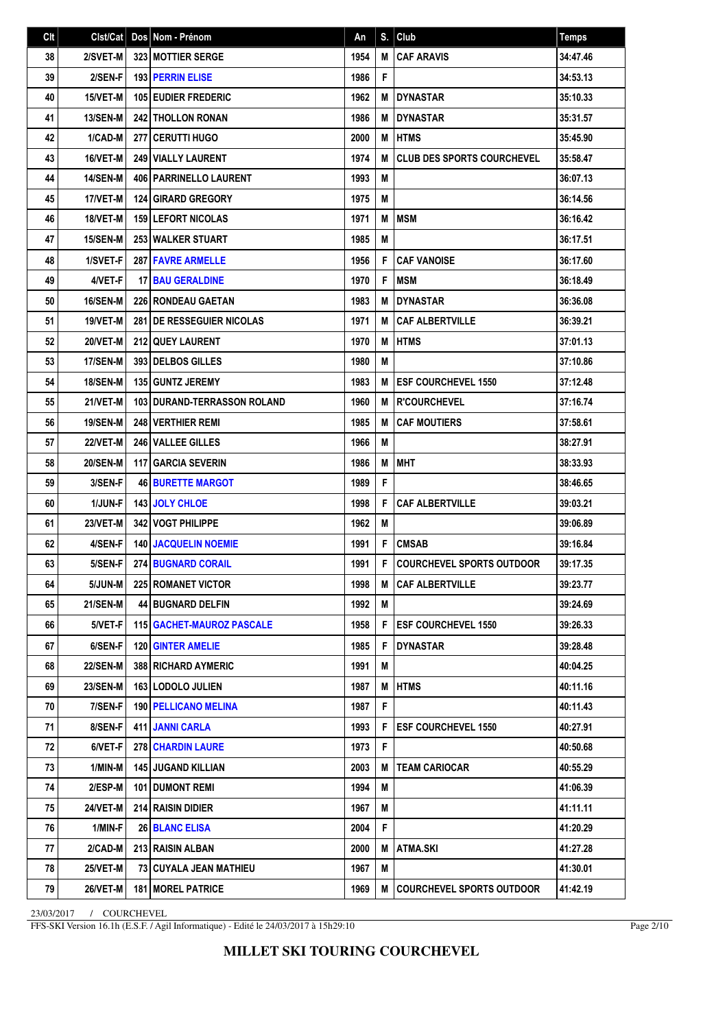| Clt | Clst/Cat        | Dos Nom - Prénom                   | An   | S. | Club                              | <b>Temps</b> |
|-----|-----------------|------------------------------------|------|----|-----------------------------------|--------------|
| 38  | 2/SVET-M        | <b>323 MOTTIER SERGE</b>           | 1954 | M  | <b>CAF ARAVIS</b>                 | 34:47.46     |
| 39  | 2/SEN-F         | <b>193 PERRIN ELISE</b>            | 1986 | F  |                                   | 34:53.13     |
| 40  | 15/VET-M        | <b>105 EUDIER FREDERIC</b>         | 1962 | M  | <b>DYNASTAR</b>                   | 35:10.33     |
| 41  | <b>13/SEN-M</b> | <b>242 THOLLON RONAN</b>           | 1986 | M  | <b>DYNASTAR</b>                   | 35:31.57     |
| 42  | 1/CAD-M         | 277 CERUTTI HUGO                   | 2000 | M  | <b>HTMS</b>                       | 35:45.90     |
| 43  | 16/VET-M        | <b>249   VIALLY LAURENT</b>        | 1974 | M  | <b>CLUB DES SPORTS COURCHEVEL</b> | 35:58.47     |
| 44  | <b>14/SEN-M</b> | <b>406   PARRINELLO LAURENT</b>    | 1993 | M  |                                   | 36:07.13     |
| 45  | 17/VET-M        | <b>124 GIRARD GREGORY</b>          | 1975 | M  |                                   | 36:14.56     |
| 46  | 18/VET-M        | <b>159 LEFORT NICOLAS</b>          | 1971 | M  | <b>MSM</b>                        | 36:16.42     |
| 47  | 15/SEN-M        | <b>253 WALKER STUART</b>           | 1985 | M  |                                   | 36:17.51     |
| 48  | 1/SVET-F        | <b>287 FAVRE ARMELLE</b>           | 1956 | F  | <b>CAF VANOISE</b>                | 36:17.60     |
| 49  | 4/VET-F         | <b>17 BAU GERALDINE</b>            | 1970 | F  | <b>MSM</b>                        | 36:18.49     |
| 50  | 16/SEN-M        | <b>226 RONDEAU GAETAN</b>          | 1983 | M  | <b>DYNASTAR</b>                   | 36:36.08     |
| 51  | 19/VET-M        | <b>281 IDE RESSEGUIER NICOLAS</b>  | 1971 | M  | <b>CAF ALBERTVILLE</b>            | 36:39.21     |
| 52  | 20/VET-M        | <b>212 QUEY LAURENT</b>            | 1970 | M  | <b>HTMS</b>                       | 37:01.13     |
| 53  | <b>17/SEN-M</b> | 393 DELBOS GILLES                  | 1980 | M  |                                   | 37:10.86     |
| 54  | <b>18/SEN-M</b> | <b>135 GUNTZ JEREMY</b>            | 1983 | M  | <b>ESF COURCHEVEL 1550</b>        | 37:12.48     |
| 55  | 21/VET-M        | <b>103 DURAND-TERRASSON ROLAND</b> | 1960 | M  | <b>R'COURCHEVEL</b>               | 37:16.74     |
| 56  | <b>19/SEN-M</b> | <b>248 VERTHIER REMI</b>           | 1985 | M  | <b>CAF MOUTIERS</b>               | 37:58.61     |
| 57  | 22/VET-M        | 246 VALLEE GILLES                  | 1966 | M  |                                   | 38:27.91     |
| 58  | <b>20/SEN-M</b> | <b>117 GARCIA SEVERIN</b>          | 1986 | M  | <b>MHT</b>                        | 38:33.93     |
| 59  | 3/SEN-F         | <b>46 BURETTE MARGOT</b>           | 1989 | F  |                                   | 38:46.65     |
| 60  | 1/JUN-F         | <b>143 JOLY CHLOE</b>              | 1998 | F  | <b>CAF ALBERTVILLE</b>            | 39:03.21     |
| 61  | 23/VET-M        | <b>342 VOGT PHILIPPE</b>           | 1962 | M  |                                   | 39:06.89     |
| 62  | 4/SEN-F         | <b>140 JACQUELIN NOEMIE</b>        | 1991 | F  | <b>CMSAB</b>                      | 39:16.84     |
| 63  | 5/SEN-F         | <b>274 BUGNARD CORAIL</b>          | 1991 | F  | <b>COURCHEVEL SPORTS OUTDOOR</b>  | 39:17.35     |
| 64  | 5/JUN-M         | 225 ROMANET VICTOR                 | 1998 | Μ  | <b>CAF ALBERTVILLE</b>            | 39:23.77     |
| 65  | 21/SEN-M        | <b>44 BUGNARD DELFIN</b>           | 1992 | M  |                                   | 39:24.69     |
| 66  | 5/VET-F         | <b>115   GACHET-MAUROZ PASCALE</b> | 1958 | F  | <b>ESF COURCHEVEL 1550</b>        | 39:26.33     |
| 67  | 6/SEN-F         | <b>120 GINTER AMELIE</b>           | 1985 | F  | <b>DYNASTAR</b>                   | 39:28.48     |
| 68  | <b>22/SEN-M</b> | 388 RICHARD AYMERIC                | 1991 | M  |                                   | 40:04.25     |
| 69  | <b>23/SEN-M</b> | <b>163 LODOLO JULIEN</b>           | 1987 | M  | <b>HTMS</b>                       | 40:11.16     |
| 70  | 7/SEN-F         | <b>190   PELLICANO MELINA</b>      | 1987 | F  |                                   | 40:11.43     |
| 71  | 8/SEN-F         | <b>411 JANNI CARLA</b>             | 1993 | F  | <b>ESF COURCHEVEL 1550</b>        | 40:27.91     |
| 72  | 6/VET-F         | <b>278 CHARDIN LAURE</b>           | 1973 | F  |                                   | 40:50.68     |
| 73  | 1/MIN-M         | <b>145 JUGAND KILLIAN</b>          | 2003 | M  | <b>TEAM CARIOCAR</b>              | 40:55.29     |
| 74  | 2/ESP-M         | <b>101   DUMONT REMI</b>           | 1994 | M  |                                   | 41:06.39     |
| 75  | <b>24/VET-M</b> | 214 RAISIN DIDIER                  | 1967 | M  |                                   | 41:11.11     |
| 76  | 1/MIN-F         | 26 BLANC ELISA                     | 2004 | F. |                                   | 41:20.29     |
| 77  | 2/CAD-M         | 213 RAISIN ALBAN                   | 2000 | M  | ATMA.SKI                          | 41:27.28     |
| 78  | <b>25/VET-M</b> | 73   CUYALA JEAN MATHIEU           | 1967 | M  |                                   | 41:30.01     |
| 79  | 26/VET-M        | <b>181   MOREL PATRICE</b>         | 1969 | M  | <b>COURCHEVEL SPORTS OUTDOOR</b>  | 41:42.19     |

FFS-SKI Version 16.1h (E.S.F. / Agil Informatique) - Edité le 24/03/2017 à 15h29:10

Page 2/10

**MILLET SKI TOURING COURCHEVEL**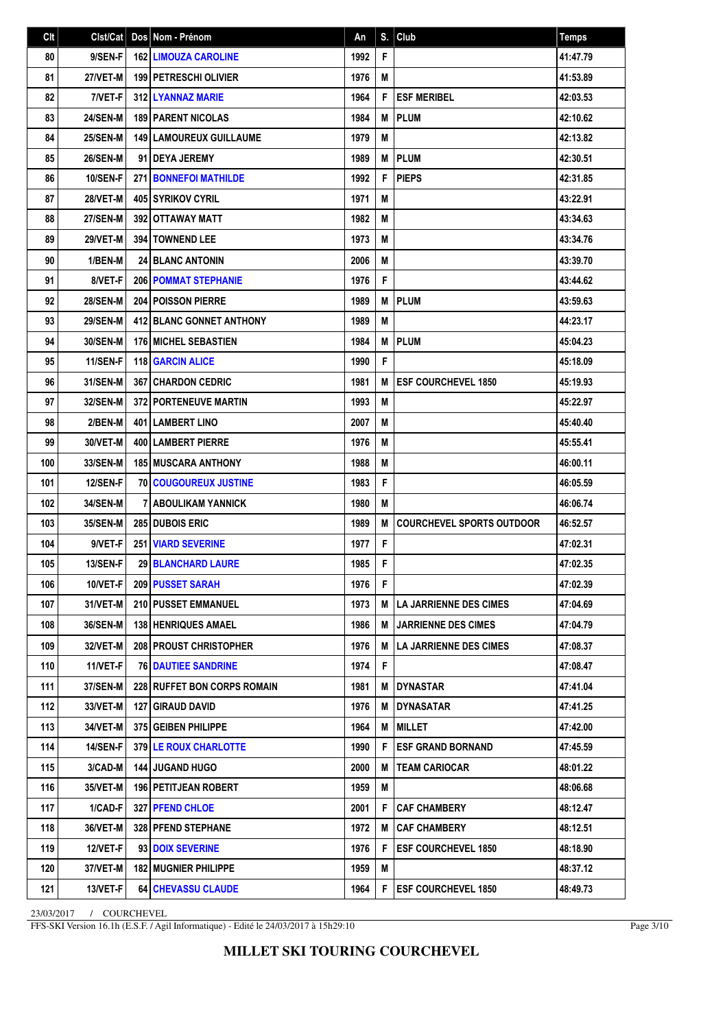| Clt | Clst/Cat        | Dos Nom - Prénom                   | An   | S. | Club                             | <b>Temps</b> |
|-----|-----------------|------------------------------------|------|----|----------------------------------|--------------|
| 80  | 9/SEN-F         | <b>162 LIMOUZA CAROLINE</b>        | 1992 | F  |                                  | 41:47.79     |
| 81  | 27/VET-M        | <b>199 PETRESCHI OLIVIER</b>       | 1976 | M  |                                  | 41:53.89     |
| 82  | 7/VET-F         | <b>312 I LYANNAZ MARIE</b>         | 1964 | F  | <b>ESF MERIBEL</b>               | 42:03.53     |
| 83  | <b>24/SEN-M</b> | <b>189 PARENT NICOLAS</b>          | 1984 | M  | <b>PLUM</b>                      | 42:10.62     |
| 84  | <b>25/SEN-M</b> | <b>149   LAMOUREUX GUILLAUME</b>   | 1979 | M  |                                  | 42:13.82     |
| 85  | <b>26/SEN-M</b> | 91 <b>DEYA JEREMY</b>              | 1989 | M  | <b>PLUM</b>                      | 42:30.51     |
| 86  | <b>10/SEN-F</b> | <b>271 BONNEFOI MATHILDE</b>       | 1992 | F  | <b>PIEPS</b>                     | 42:31.85     |
| 87  | 28/VET-M        | <b>405 SYRIKOV CYRIL</b>           | 1971 | M  |                                  | 43:22.91     |
| 88  | <b>27/SEN-M</b> | 392 OTTAWAY MATT                   | 1982 | M  |                                  | 43:34.63     |
| 89  | 29/VET-M        | <b>394   TOWNEND LEE</b>           | 1973 | M  |                                  | 43:34.76     |
| 90  | 1/BEN-M         | <b>24 BLANC ANTONIN</b>            | 2006 | Μ  |                                  | 43:39.70     |
| 91  | 8/VET-F         | <b>206 POMMAT STEPHANIE</b>        | 1976 | F  |                                  | 43:44.62     |
| 92  | <b>28/SEN-M</b> | <b>204 POISSON PIERRE</b>          | 1989 | М  | <b>PLUM</b>                      | 43:59.63     |
| 93  | <b>29/SEN-M</b> | <b>412 BLANC GONNET ANTHONY</b>    | 1989 | M  |                                  | 44:23.17     |
| 94  | <b>30/SEN-M</b> | <b>176 MICHEL SEBASTIEN</b>        | 1984 | M  | <b>PLUM</b>                      | 45:04.23     |
| 95  | <b>11/SEN-F</b> | <b>118 GARCIN ALICE</b>            | 1990 | F  |                                  | 45:18.09     |
| 96  | 31/SEN-M        | <b>367 CHARDON CEDRIC</b>          | 1981 | M  | <b>ESF COURCHEVEL 1850</b>       | 45:19.93     |
| 97  | <b>32/SEN-M</b> | <b>372 PORTENEUVE MARTIN</b>       | 1993 | M  |                                  | 45:22.97     |
| 98  | 2/BEN-M         | <b>401 LAMBERT LINO</b>            | 2007 | M  |                                  | 45:40.40     |
| 99  | 30/VET-M        | <b>400   LAMBERT PIERRE</b>        | 1976 | M  |                                  | 45:55.41     |
| 100 | 33/SEN-M        | <b>185 MUSCARA ANTHONY</b>         | 1988 | M  |                                  | 46:00.11     |
| 101 | 12/SEN-F        | <b>70 COUGOUREUX JUSTINE</b>       | 1983 | F  |                                  | 46:05.59     |
| 102 | 34/SEN-M        | <b>7 ABOULIKAM YANNICK</b>         | 1980 | M  |                                  | 46:06.74     |
| 103 | 35/SEN-M        | <b>285 DUBOIS ERIC</b>             | 1989 | M  | <b>COURCHEVEL SPORTS OUTDOOR</b> | 46:52.57     |
| 104 | 9/VET-F         | <b>251 VIARD SEVERINE</b>          | 1977 | F  |                                  | 47:02.31     |
| 105 | <b>13/SEN-F</b> | 29 BLANCHARD LAURE                 | 1985 | F  |                                  | 47:02.35     |
| 106 | 10/VET-F        | 209 PUSSET SARAH                   | 1976 | F. |                                  | 47:02.39     |
| 107 | 31/VET-M        | <b>210   PUSSET EMMANUEL</b>       | 1973 | М  | LA JARRIENNE DES CIMES           | 47:04.69     |
| 108 | <b>36/SEN-M</b> | <b>138 HENRIQUES AMAEL</b>         | 1986 | M  | <b>JARRIENNE DES CIMES</b>       | 47:04.79     |
| 109 | 32/VET-M        | <b>208 PROUST CHRISTOPHER</b>      | 1976 | M  | LA JARRIENNE DES CIMES           | 47:08.37     |
| 110 | 11/VET-F        | <b>76 DAUTIEE SANDRINE</b>         | 1974 | F  |                                  | 47:08.47     |
| 111 | <b>37/SEN-M</b> | <b>228 RUFFET BON CORPS ROMAIN</b> | 1981 | M  | <b>I DYNASTAR</b>                | 47:41.04     |
| 112 | 33/VET-M        | <b>127   GIRAUD DAVID</b>          | 1976 | M  | <b>DYNASATAR</b>                 | 47:41.25     |
| 113 | 34/VET-M        | 375 GEIBEN PHILIPPE                | 1964 | M  | <b>MILLET</b>                    | 47:42.00     |
| 114 | 14/SEN-F        | 379 LE ROUX CHARLOTTE              | 1990 | F  | <b>ESF GRAND BORNAND</b>         | 47:45.59     |
| 115 | 3/CAD-M         | <b>144 JUGAND HUGO</b>             | 2000 | M  | <b>TEAM CARIOCAR</b>             | 48:01.22     |
| 116 | 35/VET-M        | <b>196   PETITJEAN ROBERT</b>      | 1959 | M  |                                  | 48:06.68     |
| 117 | 1/CAD-F         | 327 PFEND CHLOE                    | 2001 | F  | <b>CAF CHAMBERY</b>              | 48:12.47     |
| 118 | 36/VET-M        | <b>328   PFEND STEPHANE</b>        | 1972 | M  | <b>CAF CHAMBERY</b>              | 48:12.51     |
| 119 | 12/VET-F        | 93 DOIX SEVERINE                   | 1976 | F  | <b>ESF COURCHEVEL 1850</b>       | 48:18.90     |
| 120 | 37/VET-M        | <b>182   MUGNIER PHILIPPE</b>      | 1959 | Μ  |                                  | 48:37.12     |
| 121 | 13/VET-F        | <b>64   CHEVASSU CLAUDE</b>        | 1964 | F  | <b>ESF COURCHEVEL 1850</b>       | 48:49.73     |

FFS-SKI Version 16.1h (E.S.F. / Agil Informatique) - Edité le 24/03/2017 à 15h29:10

Page 3/10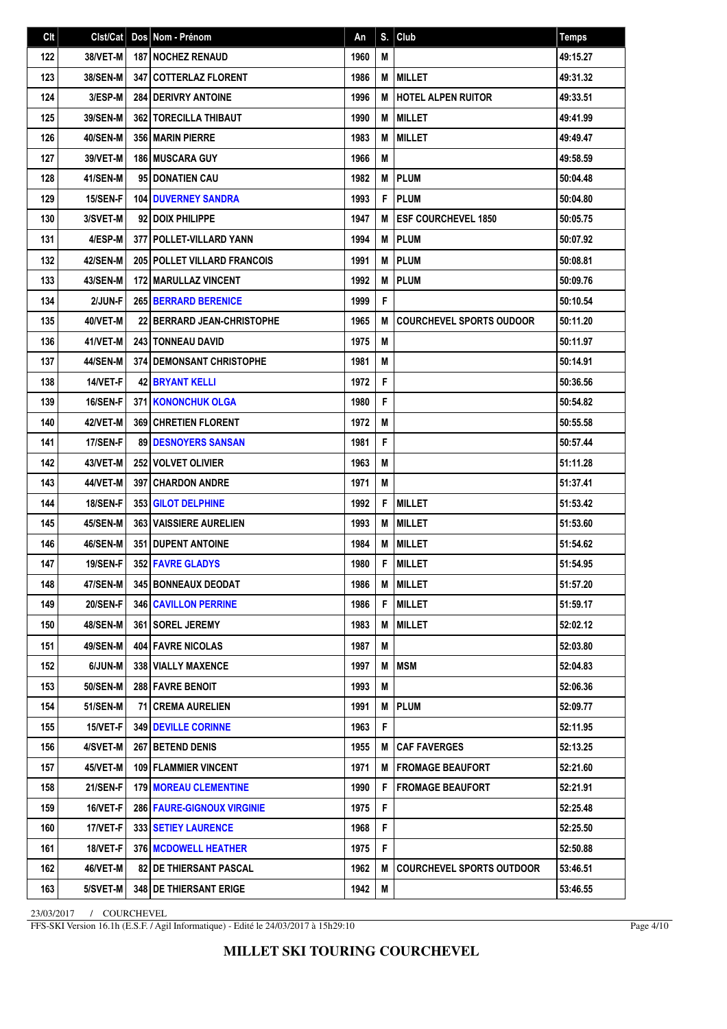| Clt | Clst/Cat        | Dos Nom - Prénom                    | An   | S. | Club                             | Temps    |
|-----|-----------------|-------------------------------------|------|----|----------------------------------|----------|
| 122 | 38/VET-M        | <b>187 NOCHEZ RENAUD</b>            | 1960 | M  |                                  | 49:15.27 |
| 123 | <b>38/SEN-M</b> | 347 COTTERLAZ FLORENT               | 1986 | M  | <b>I MILLET</b>                  | 49:31.32 |
| 124 | 3/ESP-M         | 284 DERIVRY ANTOINE                 | 1996 | M  | <b>HOTEL ALPEN RUITOR</b>        | 49:33.51 |
| 125 | 39/SEN-M        | <b>362 TORECILLA THIBAUT</b>        | 1990 | M  | <b>MILLET</b>                    | 49:41.99 |
| 126 | 40/SEN-M        | 356 MARIN PIERRE                    | 1983 | M  | <b>MILLET</b>                    | 49:49.47 |
| 127 | 39/VET-M        | <b>186   MUSCARA GUY</b>            | 1966 | M  |                                  | 49:58.59 |
| 128 | 41/SEN-M        | 95 DONATIEN CAU                     | 1982 | M  | <b>PLUM</b>                      | 50:04.48 |
| 129 | 15/SEN-F        | <b>104   DUVERNEY SANDRA</b>        | 1993 | F  | <b>PLUM</b>                      | 50:04.80 |
| 130 | 3/SVET-M        | 92 DOIX PHILIPPE                    | 1947 | M  | <b>IESF COURCHEVEL 1850</b>      | 50:05.75 |
| 131 | 4/ESP-M         | 377   POLLET-VILLARD YANN           | 1994 | M  | <b>PLUM</b>                      | 50:07.92 |
| 132 | 42/SEN-M        | <b>205 POLLET VILLARD FRANCOIS</b>  | 1991 | M  | PLUM                             | 50:08.81 |
| 133 | 43/SEN-M        | 172 MARULLAZ VINCENT                | 1992 | M  | <b>PLUM</b>                      | 50:09.76 |
| 134 | 2/JUN-F         | <b>265   BERRARD BERENICE</b>       | 1999 | F  |                                  | 50:10.54 |
| 135 | 40/VET-M        | 22 BERRARD JEAN-CHRISTOPHE          | 1965 | M  | <b>COURCHEVEL SPORTS OUDOOR</b>  | 50:11.20 |
| 136 | 41/VET-M        | <b>243   TONNEAU DAVID</b>          | 1975 | M  |                                  | 50:11.97 |
| 137 | 44/SEN-M        | <b>374 DEMONSANT CHRISTOPHE</b>     | 1981 | M  |                                  | 50:14.91 |
| 138 | 14/VET-F        | 42 BRYANT KELLI                     | 1972 | F  |                                  | 50:36.56 |
| 139 | 16/SEN-F        | <b>371 KONONCHUK OLGA</b>           | 1980 | F  |                                  | 50:54.82 |
| 140 | 42/VET-M        | 369 CHRETIEN FLORENT                | 1972 | M  |                                  | 50:55.58 |
| 141 | 17/SEN-F        | <b>89   DESNOYERS SANSAN</b>        | 1981 | F  |                                  | 50:57.44 |
| 142 | 43/VET-M        | <b>252 VOLVET OLIVIER</b>           | 1963 | M  |                                  | 51:11.28 |
| 143 | 44/VET-M        | <b>397 CHARDON ANDRE</b>            | 1971 | M  |                                  | 51:37.41 |
| 144 | <b>18/SEN-F</b> | <b>353 GILOT DELPHINE</b>           | 1992 | F  | <b>MILLET</b>                    | 51:53.42 |
| 145 | <b>45/SEN-M</b> | <b>363 VAISSIERE AURELIEN</b>       | 1993 | M  | <b>MILLET</b>                    | 51:53.60 |
| 146 | 46/SEN-M        | <b>351 DUPENT ANTOINE</b>           | 1984 | M  | <b>IMILLET</b>                   | 51:54.62 |
| 147 | <b>19/SEN-F</b> | 352 FAVRE GLADYS                    | 1980 | F  | <b>MILLET</b>                    | 51:54.95 |
| 148 | 47/SEN-M        | 345 BONNEAUX DEODAT                 | 1986 |    | <b>M MILLET</b>                  | 51:57.20 |
| 149 | 20/SEN-F        | <b>346   CAVILLON PERRINE</b>       | 1986 | F  | <b>MILLET</b>                    | 51:59.17 |
| 150 | 48/SEN-M        | 361 SOREL JEREMY                    | 1983 | M  | <b>MILLET</b>                    | 52:02.12 |
| 151 | <b>49/SEN-M</b> | 404 FAVRE NICOLAS                   | 1987 | М  |                                  | 52:03.80 |
| 152 | 6/JUN-M         | 338 VIALLY MAXENCE                  | 1997 | M  | <b>MSM</b>                       | 52:04.83 |
| 153 | 50/SEN-M        | 288 FAVRE BENOIT                    | 1993 | M  |                                  | 52:06.36 |
| 154 | 51/SEN-M        | <b>71 CREMA AURELIEN</b>            | 1991 | M  | <b>PLUM</b>                      | 52:09.77 |
| 155 | 15/VET-F        | <b>349 I DEVILLE CORINNE</b>        | 1963 | F  |                                  | 52:11.95 |
| 156 | 4/SVET-M        | 267 BETEND DENIS                    | 1955 | M  | <b>CAF FAVERGES</b>              | 52:13.25 |
| 157 | 45/VET-M        | 109 FLAMMIER VINCENT                | 1971 | M  | <b>FROMAGE BEAUFORT</b>          | 52:21.60 |
| 158 | 21/SEN-F        | <b>179 I MOREAU CLEMENTINE</b>      | 1990 | F  | <b>FROMAGE BEAUFORT</b>          | 52:21.91 |
| 159 | 16/VET-F        | <b>286   FAURE-GIGNOUX VIRGINIE</b> | 1975 | F  |                                  | 52:25.48 |
| 160 | 17/VET-F        | <b>333 SETIEY LAURENCE</b>          | 1968 | F  |                                  | 52:25.50 |
| 161 | 18/VET-F        | <b>376   MCDOWELL HEATHER</b>       | 1975 | F. |                                  | 52:50.88 |
| 162 | 46/VET-M        | <b>82   DE THIERSANT PASCAL</b>     | 1962 | M  | <b>COURCHEVEL SPORTS OUTDOOR</b> | 53:46.51 |
| 163 | 5/SVET-M        | 348 DE THIERSANT ERIGE              | 1942 | M  |                                  | 53:46.55 |

FFS-SKI Version 16.1h (E.S.F. / Agil Informatique) - Edité le 24/03/2017 à 15h29:10

Page 4/10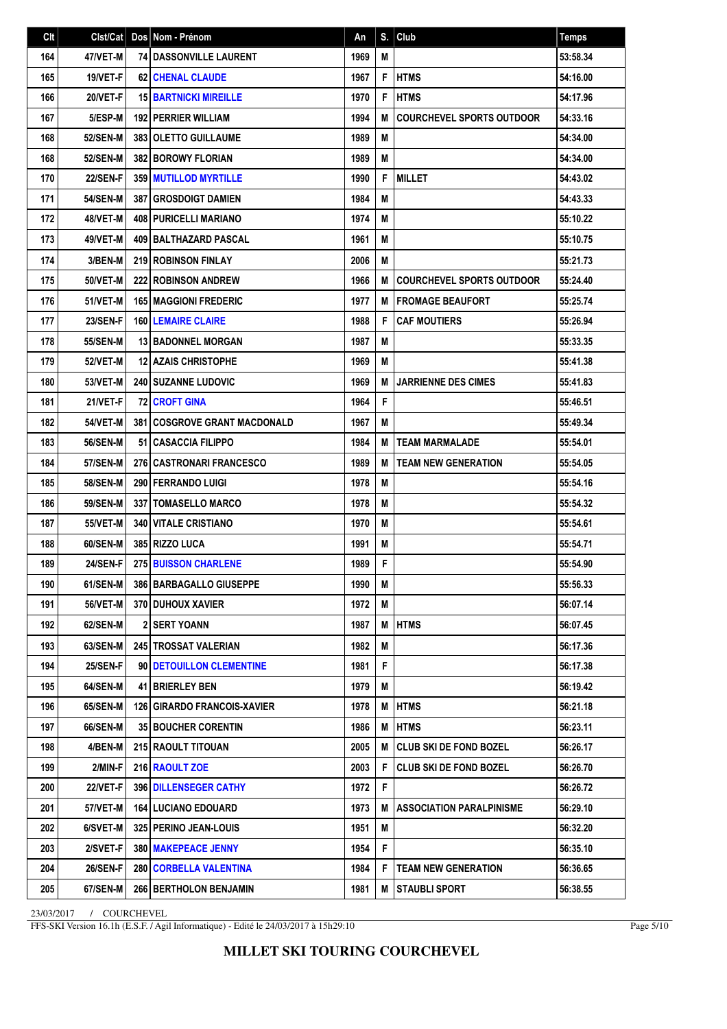| C <sub>It</sub> | Clst/Cat        | Dos Nom - Prénom                      | An   |   | $S.$ Club                        | <b>Temps</b> |
|-----------------|-----------------|---------------------------------------|------|---|----------------------------------|--------------|
| 164             | 47/VET-M        | <b>74 DASSONVILLE LAURENT</b>         | 1969 | M |                                  | 53:58.34     |
| 165             | 19/VET-F        | <b>62 CHENAL CLAUDE</b>               | 1967 | F | <b>HTMS</b>                      | 54:16.00     |
| 166             | 20/VET-F        | <b>15 BARTNICKI MIREILLE</b>          | 1970 | F | <b>HTMS</b>                      | 54:17.96     |
| 167             | 5/ESP-M         | <b>192   PERRIER WILLIAM</b>          | 1994 | M | <b>COURCHEVEL SPORTS OUTDOOR</b> | 54:33.16     |
| 168             | <b>52/SEN-M</b> | 383 OLETTO GUILLAUME                  | 1989 | M |                                  | 54:34.00     |
| 168             | <b>52/SEN-M</b> | <b>382 BOROWY FLORIAN</b>             | 1989 | M |                                  | 54:34.00     |
| 170             | 22/SEN-F        | <b>359 MUTILLOD MYRTILLE</b>          | 1990 | F | <b>MILLET</b>                    | 54:43.02     |
| 171             | <b>54/SEN-M</b> | <b>387   GROSDOIGT DAMIEN</b>         | 1984 | M |                                  | 54:43.33     |
| 172             | 48/VET-M        | <b>408 PURICELLI MARIANO</b>          | 1974 | M |                                  | 55:10.22     |
| 173             | 49/VET-M        | 409 BALTHAZARD PASCAL                 | 1961 | M |                                  | 55:10.75     |
| 174             | 3/BEN-M         | <b>219 ROBINSON FINLAY</b>            | 2006 | M |                                  | 55:21.73     |
| 175             | <b>50/VET-M</b> | <b>222 ROBINSON ANDREW</b>            | 1966 | M | <b>COURCHEVEL SPORTS OUTDOOR</b> | 55:24.40     |
| 176             | 51/VET-M        | <b>165 MAGGIONI FREDERIC</b>          | 1977 | M | l FROMAGE BEAUFORT               | 55:25.74     |
| 177             | 23/SEN-F        | <b>160 LEMAIRE CLAIRE</b>             | 1988 | F | <b>CAF MOUTIERS</b>              | 55:26.94     |
| 178             | <b>55/SEN-M</b> | <b>13 BADONNEL MORGAN</b>             | 1987 | M |                                  | 55:33.35     |
| 179             | <b>52/VET-M</b> | <b>12 AZAIS CHRISTOPHE</b>            | 1969 | M |                                  | 55:41.38     |
| 180             | <b>53/VET-M</b> | 240 SUZANNE LUDOVIC                   | 1969 | M | <b>JARRIENNE DES CIMES</b>       | 55:41.83     |
| 181             | 21/VET-F        | <b>72 CROFT GINA</b>                  | 1964 | F |                                  | 55:46.51     |
| 182             | <b>54/VET-M</b> | <b>381   COSGROVE GRANT MACDONALD</b> | 1967 | M |                                  | 55:49.34     |
| 183             | <b>56/SEN-M</b> | 51   CASACCIA FILIPPO                 | 1984 | M | <b>TEAM MARMALADE</b>            | 55:54.01     |
| 184             | <b>57/SEN-M</b> | <b>276 CASTRONARI FRANCESCO</b>       | 1989 | M | <b>TEAM NEW GENERATION</b>       | 55:54.05     |
| 185             | <b>58/SEN-M</b> | <b>290 FERRANDO LUIGI</b>             | 1978 | M |                                  | 55:54.16     |
| 186             | <b>59/SEN-M</b> | <b>337   TOMASELLO MARCO</b>          | 1978 | M |                                  | 55:54.32     |
| 187             | <b>55/VET-M</b> | <b>340   VITALE CRISTIANO</b>         | 1970 | M |                                  | 55:54.61     |
| 188             | 60/SEN-M        | <b>385 RIZZO LUCA</b>                 | 1991 | M |                                  | 55:54.71     |
| 189             | <b>24/SEN-F</b> | <b>275 BUISSON CHARLENE</b>           | 1989 | F |                                  | 55:54.90     |
| 190             | 61/SEN-M        | 386   BARBAGALLO GIUSEPPE             | 1990 | M |                                  | 55:56.33     |
| 191             | <b>56/VET-M</b> | 370   DUHOUX XAVIER                   | 1972 | М |                                  | 56:07.14     |
| 192             | 62/SEN-M        | 2 SERT YOANN                          | 1987 | M | <b>HTMS</b>                      | 56:07.45     |
| 193             | 63/SEN-M        | 245 TROSSAT VALERIAN                  | 1982 | M |                                  | 56:17.36     |
| 194             | 25/SEN-F        | 90 DETOUILLON CLEMENTINE              | 1981 | F |                                  | 56:17.38     |
| 195             | 64/SEN-M        | 41 BRIERLEY BEN                       | 1979 | M |                                  | 56:19.42     |
| 196             | 65/SEN-M        | 126   GIRARDO FRANCOIS-XAVIER         | 1978 | M | <b>HTMS</b>                      | 56:21.18     |
| 197             | 66/SEN-M        | <b>35 BOUCHER CORENTIN</b>            | 1986 | M | <b>HTMS</b>                      | 56:23.11     |
| 198             | 4/BEN-M         | <b>215 RAOULT TITOUAN</b>             | 2005 | M | <b>CLUB SKI DE FOND BOZEL</b>    | 56:26.17     |
| 199             | 2/MIN-F         | 216 RAOULT ZOE                        | 2003 | F | <b>CLUB SKI DE FOND BOZEL</b>    | 56:26.70     |
| 200             | <b>22/VET-F</b> | <b>396 DILLENSEGER CATHY</b>          | 1972 | F |                                  | 56:26.72     |
| 201             | 57/VET-M        | <b>164   LUCIANO EDOUARD</b>          | 1973 | M | <b>ASSOCIATION PARALPINISME</b>  | 56:29.10     |
| 202             | 6/SVET-M        | 325 PERINO JEAN-LOUIS                 | 1951 | M |                                  | 56:32.20     |
| 203             | 2/SVET-F        | 380 MAKEPEACE JENNY                   | 1954 | F |                                  | 56:35.10     |
| 204             | <b>26/SEN-F</b> | <b>280   CORBELLA VALENTINA</b>       | 1984 | F | <b>TEAM NEW GENERATION</b>       | 56:36.65     |
| 205             | 67/SEN-M        | 266 BERTHOLON BENJAMIN                | 1981 | M | STAUBLI SPORT                    | 56:38.55     |

FFS-SKI Version 16.1h (E.S.F. / Agil Informatique) - Edité le 24/03/2017 à 15h29:10

Page 5/10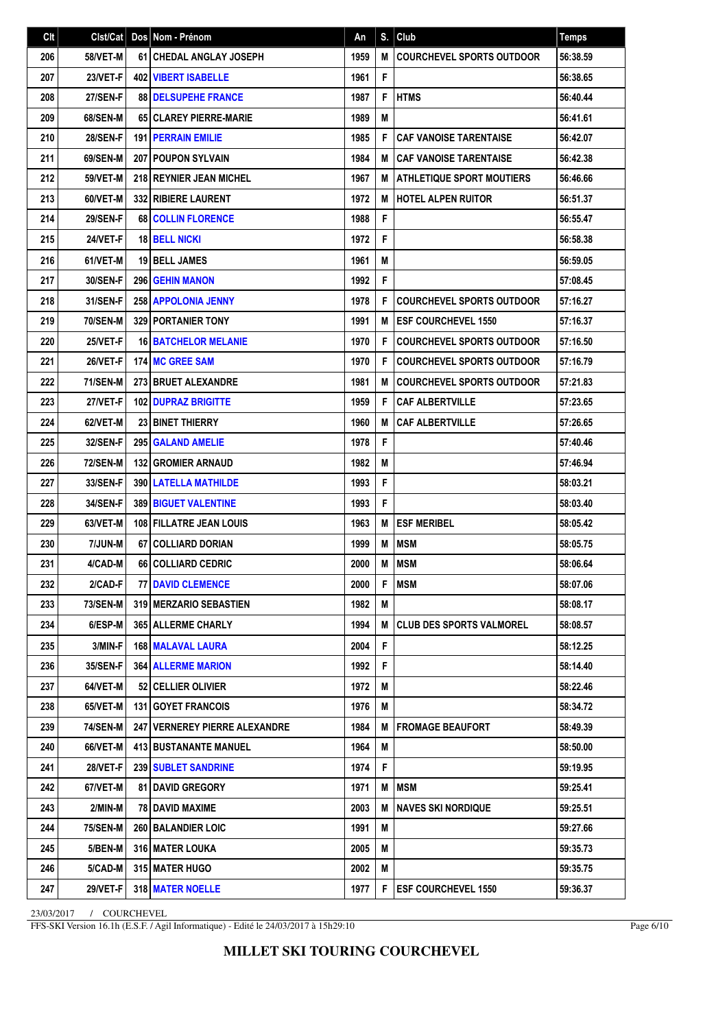| Clt |                 | Cist/Cat   Dos   Nom - Prénom          | An   | S. | Club                                | <b>Temps</b> |
|-----|-----------------|----------------------------------------|------|----|-------------------------------------|--------------|
| 206 | 58/VET-M        | <b>61 CHEDAL ANGLAY JOSEPH</b>         | 1959 | M  | <b>COURCHEVEL SPORTS OUTDOOR</b>    | 56:38.59     |
| 207 | 23/VET-F        | <b>402   VIBERT ISABELLE</b>           | 1961 | F  |                                     | 56:38.65     |
| 208 | 27/SEN-F        | <b>88 DELSUPEHE FRANCE</b>             | 1987 | F  | <b>HTMS</b>                         | 56:40.44     |
| 209 | 68/SEN-M        | 65 CLAREY PIERRE-MARIE                 | 1989 | M  |                                     | 56:41.61     |
| 210 | 28/SEN-F        | <b>191 PERRAIN EMILIE</b>              | 1985 | F  | <b>CAF VANOISE TARENTAISE</b>       | 56:42.07     |
| 211 | 69/SEN-M        | <b>207 POUPON SYLVAIN</b>              | 1984 | M  | <b>I CAF VANOISE TARENTAISE</b>     | 56:42.38     |
| 212 | <b>59/VET-M</b> | 218 REYNIER JEAN MICHEL                | 1967 | M  | <b>ATHLETIQUE SPORT MOUTIERS</b>    | 56:46.66     |
| 213 | 60/VET-M        | 332 RIBIERE LAURENT                    | 1972 | M  | <b>HOTEL ALPEN RUITOR</b>           | 56:51.37     |
| 214 | 29/SEN-F        | 68 COLLIN FLORENCE                     | 1988 | F  |                                     | 56:55.47     |
| 215 | 24/VET-F        | <b>18 BELL NICKI</b>                   | 1972 | F  |                                     | 56:58.38     |
| 216 | 61/VET-M        | <b>19 BELL JAMES</b>                   | 1961 | M  |                                     | 56:59.05     |
| 217 | 30/SEN-F        | <b>296 GEHIN MANON</b>                 | 1992 | F  |                                     | 57:08.45     |
| 218 | 31/SEN-F        | 258 APPOLONIA JENNY                    | 1978 | F  | <b>COURCHEVEL SPORTS OUTDOOR</b>    | 57:16.27     |
| 219 | <b>70/SEN-M</b> | <b>329 PORTANIER TONY</b>              | 1991 | М  | <b>IESF COURCHEVEL 1550</b>         | 57:16.37     |
| 220 | 25/VET-F        | <b>16 BATCHELOR MELANIE</b>            | 1970 | F  | <b>COURCHEVEL SPORTS OUTDOOR</b>    | 57:16.50     |
| 221 | 26/VET-F        | <b>174 MC GREE SAM</b>                 | 1970 | F  | <b>COURCHEVEL SPORTS OUTDOOR</b>    | 57:16.79     |
| 222 | <b>71/SEN-M</b> | 273 BRUET ALEXANDRE                    | 1981 | M  | <b>COURCHEVEL SPORTS OUTDOOR</b>    | 57:21.83     |
| 223 | 27/VET-F        | <b>102 DUPRAZ BRIGITTE</b>             | 1959 | F  | <b>CAF ALBERTVILLE</b>              | 57:23.65     |
| 224 | 62/VET-M        | <b>23 BINET THIERRY</b>                | 1960 | M  | <b>CAF ALBERTVILLE</b>              | 57:26.65     |
| 225 | <b>32/SEN-F</b> | 295 GALAND AMELIE                      | 1978 | F  |                                     | 57:40.46     |
| 226 | <b>72/SEN-M</b> | <b>132 GROMIER ARNAUD</b>              | 1982 | M  |                                     | 57:46.94     |
| 227 | 33/SEN-F        | 390   LATELLA MATHILDE                 | 1993 | F  |                                     | 58:03.21     |
| 228 | 34/SEN-F        | 389 BIGUET VALENTINE                   | 1993 | F  |                                     | 58:03.40     |
| 229 | 63/VET-M        | 108 FILLATRE JEAN LOUIS                | 1963 | M  | <b>ESF MERIBEL</b>                  | 58:05.42     |
| 230 | 7/JUN-M         | 67 COLLIARD DORIAN                     | 1999 | M  | <b>MSM</b>                          | 58:05.75     |
| 231 | 4/CAD-M         | 66 COLLIARD CEDRIC                     | 2000 | M  | <b>MSM</b>                          | 58:06.64     |
| 232 | $2/CAD-F$       | <b>77   DAVID CLEMENCE</b>             | 2000 |    | F   MSM                             | 58:07.06     |
| 233 | 73/SEN-M        | <b>319 IMERZARIO SEBASTIEN</b>         | 1982 | м  |                                     | 58:08.17     |
| 234 | 6/ESP-M         | <b>365 ALLERME CHARLY</b>              | 1994 |    | <b>M   CLUB DES SPORTS VALMOREL</b> | 58:08.57     |
| 235 | 3/MIN-F         | <b>168 MALAVAL LAURA</b>               | 2004 | F  |                                     | 58:12.25     |
| 236 | 35/SEN-F        | <b>364 ALLERME MARION</b>              | 1992 | F  |                                     | 58:14.40     |
| 237 | 64/VET-M        | 52 CELLIER OLIVIER                     | 1972 | M  |                                     | 58:22.46     |
| 238 | 65/VET-M        | <b>131 GOYET FRANCOIS</b>              | 1976 | M  |                                     | 58:34.72     |
| 239 | <b>74/SEN-M</b> | <b>247   VERNEREY PIERRE ALEXANDRE</b> | 1984 | M  | <b>IFROMAGE BEAUFORT</b>            | 58:49.39     |
| 240 | 66/VET-M        | <b>413 BUSTANANTE MANUEL</b>           | 1964 | M  |                                     | 58:50.00     |
| 241 | 28/VET-F        | <b>239   SUBLET SANDRINE</b>           | 1974 | F  |                                     | 59:19.95     |
| 242 | 67/VET-M        | <b>81   DAVID GREGORY</b>              | 1971 | M  | <b>MSM</b>                          | 59:25.41     |
| 243 | 2/MIN-M         | 78   DAVID MAXIME                      | 2003 | M  | <b>INAVES SKI NORDIQUE</b>          | 59:25.51     |
| 244 | <b>75/SEN-M</b> | <b>260 BALANDIER LOIC</b>              | 1991 | M  |                                     | 59:27.66     |
| 245 | 5/BEN-M         | <b>316 I MATER LOUKA</b>               | 2005 | M  |                                     | 59:35.73     |
| 246 | 5/CAD-M         | <b>315   MATER HUGO</b>                | 2002 | M  |                                     | 59:35.75     |
| 247 | 29/VET-F        | 318 MATER NOELLE                       | 1977 |    | F ESF COURCHEVEL 1550               | 59:36.37     |

FFS-SKI Version 16.1h (E.S.F. / Agil Informatique) - Edité le 24/03/2017 à 15h29:10

Page 6/10

**MILLET SKI TOURING COURCHEVEL**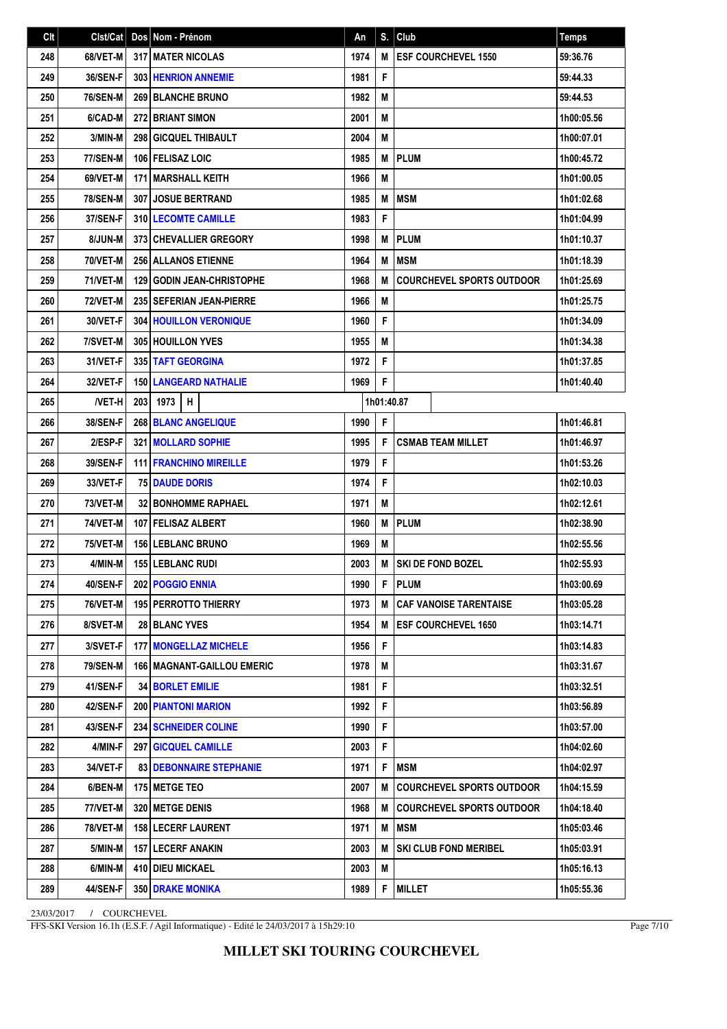| C <sub>It</sub> | Clst/Cat        |     | Dos Nom - Prénom                  | An   | S.         | Club                             | <b>Temps</b> |
|-----------------|-----------------|-----|-----------------------------------|------|------------|----------------------------------|--------------|
| 248             | 68/VET-M        |     | <b>317 MATER NICOLAS</b>          | 1974 | M          | <b>ESF COURCHEVEL 1550</b>       | 59:36.76     |
| 249             | 36/SEN-F        |     | <b>303 HENRION ANNEMIE</b>        | 1981 | F          |                                  | 59:44.33     |
| 250             | <b>76/SEN-M</b> |     | <b>269 BLANCHE BRUNO</b>          | 1982 | M          |                                  | 59:44.53     |
| 251             | 6/CAD-M         |     | 272 BRIANT SIMON                  | 2001 | M          |                                  | 1h00:05.56   |
| 252             | 3/MIN-M         |     | 298 GICQUEL THIBAULT              | 2004 | M          |                                  | 1h00:07.01   |
| 253             | <b>77/SEN-M</b> |     | 106 FELISAZ LOIC                  | 1985 | M          | PLUM                             | 1h00:45.72   |
| 254             | 69/VET-M        |     | <b>171 MARSHALL KEITH</b>         | 1966 | M          |                                  | 1h01:00.05   |
| 255             | <b>78/SEN-M</b> |     | 307 JOSUE BERTRAND                | 1985 | M          | <b>MSM</b>                       | 1h01:02.68   |
| 256             | 37/SEN-F        |     | 310 LECOMTE CAMILLE               | 1983 | F          |                                  | 1h01:04.99   |
| 257             | 8/JUN-M         |     | <b>373 CHEVALLIER GREGORY</b>     | 1998 | M          | <b>PLUM</b>                      | 1h01:10.37   |
| 258             | 70/VET-M        |     | <b>256 ALLANOS ETIENNE</b>        | 1964 | M          | <b>MSM</b>                       | 1h01:18.39   |
| 259             | <b>71/VET-M</b> |     | <b>129 GODIN JEAN-CHRISTOPHE</b>  | 1968 | M          | <b>COURCHEVEL SPORTS OUTDOOR</b> | 1h01:25.69   |
| 260             | <b>72/VET-M</b> |     | 235 SEFERIAN JEAN-PIERRE          | 1966 | M          |                                  | 1h01:25.75   |
| 261             | 30/VET-F        |     | <b>304 HOUILLON VERONIQUE</b>     | 1960 | F          |                                  | 1h01:34.09   |
| 262             | 7/SVET-M        |     | <b>305 HOUILLON YVES</b>          | 1955 | M          |                                  | 1h01:34.38   |
| 263             | 31/VET-F        |     | 335 TAFT GEORGINA                 | 1972 | F          |                                  | 1h01:37.85   |
| 264             | 32/VET-F        |     | <b>150 LANGEARD NATHALIE</b>      | 1969 | F          |                                  | 1h01:40.40   |
| 265             | <b>NET-H</b>    | 203 | H<br>1973                         |      | 1h01:40.87 |                                  |              |
| 266             | 38/SEN-F        |     | <b>268 BLANC ANGELIQUE</b>        | 1990 | F          |                                  | 1h01:46.81   |
| 267             | 2/ESP-F         |     | 321 MOLLARD SOPHIE                | 1995 | F          | <b>CSMAB TEAM MILLET</b>         | 1h01:46.97   |
| 268             | 39/SEN-F        |     | <b>111 FRANCHINO MIREILLE</b>     | 1979 | F          |                                  | 1h01:53.26   |
| 269             | 33/VET-F        |     | <b>75 DAUDE DORIS</b>             | 1974 | F          |                                  | 1h02:10.03   |
| 270             | <b>73/VET-M</b> |     | <b>32 BONHOMME RAPHAEL</b>        | 1971 | M          |                                  | 1h02:12.61   |
| 271             | <b>74/VET-M</b> |     | 107 FELISAZ ALBERT                | 1960 | M          | <b>PLUM</b>                      | 1h02:38.90   |
| 272             | <b>75/VET-M</b> |     | <b>156 LEBLANC BRUNO</b>          | 1969 | M          |                                  | 1h02:55.56   |
| 273             | 4/MIN-M         |     | 155 LEBLANC RUDI                  | 2003 | M          | <b>SKI DE FOND BOZEL</b>         | 1h02:55.93   |
| 274             | 40/SEN-F        |     | 202 POGGIO ENNIA                  | 1990 |            | F   PLUM                         | 1h03:00.69   |
| 275             | 76/VET-M        |     | <b>195   PERROTTO THIERRY</b>     | 1973 | М          | <b>CAF VANOISE TARENTAISE</b>    | 1h03:05.28   |
| 276             | <b>8/SVET-M</b> |     | <b>28 BLANC YVES</b>              | 1954 | M          | <b>ESF COURCHEVEL 1650</b>       | 1h03:14.71   |
| 277             | 3/SVET-F        |     | <b>177 MONGELLAZ MICHELE</b>      | 1956 | F          |                                  | 1h03:14.83   |
| 278             | <b>79/SEN-M</b> |     | <b>166 MAGNANT-GAILLOU EMERIC</b> | 1978 | Μ          |                                  | 1h03:31.67   |
| 279             | 41/SEN-F        |     | <b>34 BORLET EMILIE</b>           | 1981 | F          |                                  | 1h03:32.51   |
| 280             | 42/SEN-F        |     | <b>200 PIANTONI MARION</b>        | 1992 | F          |                                  | 1h03:56.89   |
| 281             | 43/SEN-F        |     | <b>234   SCHNEIDER COLINE</b>     | 1990 | F          |                                  | 1h03:57.00   |
| 282             | 4/MIN-F         |     | 297 GICQUEL CAMILLE               | 2003 | F          |                                  | 1h04:02.60   |
| 283             | 34/VET-F        |     | <b>83 DEBONNAIRE STEPHANIE</b>    | 1971 | F          | <b>MSM</b>                       | 1h04:02.97   |
| 284             | 6/BEN-M         |     | 175   METGE TEO                   | 2007 | M          | <b>COURCHEVEL SPORTS OUTDOOR</b> | 1h04:15.59   |
| 285             | 77/VET-M        |     | <b>320   METGE DENIS</b>          | 1968 | M          | <b>COURCHEVEL SPORTS OUTDOOR</b> | 1h04:18.40   |
| 286             | <b>78/VET-M</b> |     | <b>158   LECERF LAURENT</b>       | 1971 | M          | <b>MSM</b>                       | 1h05:03.46   |
| 287             | 5/MIN-M         |     | <b>157 LECERF ANAKIN</b>          | 2003 | M          | <b>SKI CLUB FOND MERIBEL</b>     | 1h05:03.91   |
| 288             | 6/MIN-M         |     | 410 DIEU MICKAEL                  | 2003 | M          |                                  | 1h05:16.13   |
| 289             | 44/SEN-F        |     | <b>350 DRAKE MONIKA</b>           | 1989 | F          | <b>MILLET</b>                    | 1h05:55.36   |

FFS-SKI Version 16.1h (E.S.F. / Agil Informatique) - Edité le 24/03/2017 à 15h29:10

Page 7/10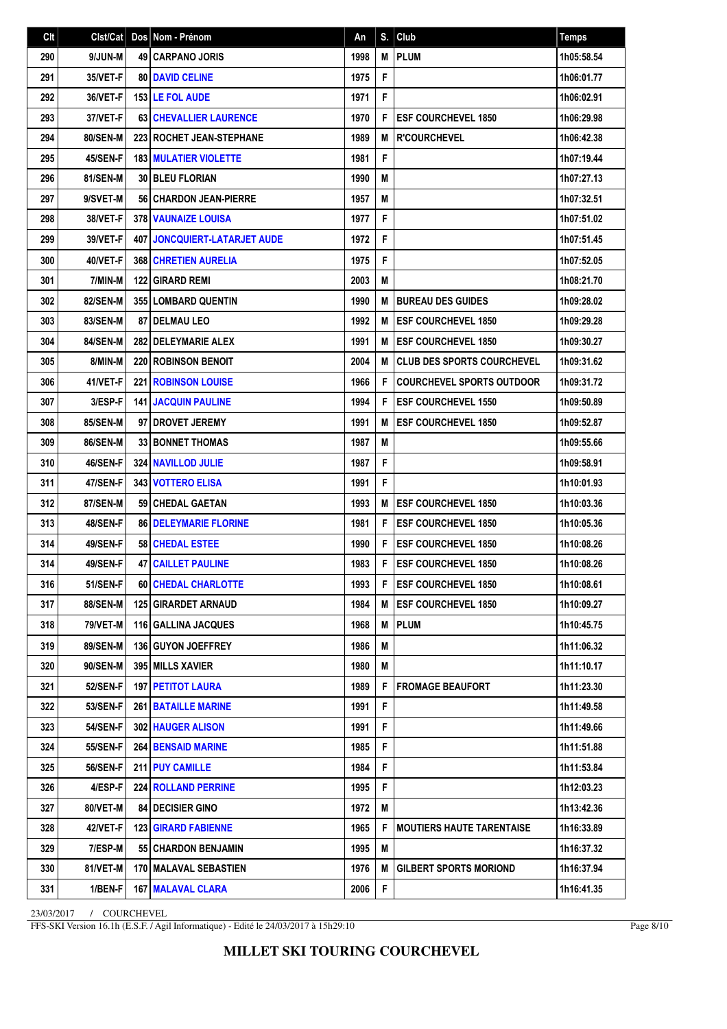| Clt |                 | Cist/Cat   Dos   Nom - Prénom       | An   |    | $S.$ Club                         | <b>Temps</b> |
|-----|-----------------|-------------------------------------|------|----|-----------------------------------|--------------|
| 290 | 9/JUN-M         | <b>49 CARPANO JORIS</b>             | 1998 | M  | <b>PLUM</b>                       | 1h05:58.54   |
| 291 | 35/VET-F        | <b>80 DAVID CELINE</b>              | 1975 | F  |                                   | 1h06:01.77   |
| 292 | 36/VET-F        | <b>153 LE FOL AUDE</b>              | 1971 | F  |                                   | 1h06:02.91   |
| 293 | 37/VET-F        | 63 CHEVALLIER LAURENCE              | 1970 | F  | <b>ESF COURCHEVEL 1850</b>        | 1h06:29.98   |
| 294 | 80/SEN-M        | 223 ROCHET JEAN-STEPHANE            | 1989 | M  | <b>R'COURCHEVEL</b>               | 1h06:42.38   |
| 295 | 45/SEN-F        | <b>183 MULATIER VIOLETTE</b>        | 1981 | F  |                                   | 1h07:19.44   |
| 296 | 81/SEN-M        | 30 BLEU FLORIAN                     | 1990 | M  |                                   | 1h07:27.13   |
| 297 | 9/SVET-M        | 56 CHARDON JEAN-PIERRE              | 1957 | M  |                                   | 1h07:32.51   |
| 298 | 38/VET-F        | <b>378 VAUNAIZE LOUISA</b>          | 1977 | F  |                                   | 1h07:51.02   |
| 299 | 39/VET-F        | <b>407 JONCQUIERT-LATARJET AUDE</b> | 1972 | F  |                                   | 1h07:51.45   |
| 300 | 40/VET-F        | 368 CHRETIEN AURELIA                | 1975 | F  |                                   | 1h07:52.05   |
| 301 | 7/MIN-M         | <b>122 GIRARD REMI</b>              | 2003 | M  |                                   | 1h08:21.70   |
| 302 | 82/SEN-M        | 355 LOMBARD QUENTIN                 | 1990 | M  | <b>BUREAU DES GUIDES</b>          | 1h09:28.02   |
| 303 | 83/SEN-M        | <b>87 I DELMAU LEO</b>              | 1992 | M  | <b>ESF COURCHEVEL 1850</b>        | 1h09:29.28   |
| 304 | 84/SEN-M        | <b>282 I DELEYMARIE ALEX</b>        | 1991 | M  | <b>ESF COURCHEVEL 1850</b>        | 1h09:30.27   |
| 305 | 8/MIN-M         | <b>220 ROBINSON BENOIT</b>          | 2004 | M  | <b>CLUB DES SPORTS COURCHEVEL</b> | 1h09:31.62   |
| 306 | 41/VET-F        | <b>221 ROBINSON LOUISE</b>          | 1966 | F  | <b>COURCHEVEL SPORTS OUTDOOR</b>  | 1h09:31.72   |
| 307 | 3/ESP-F         | <b>141 JACQUIN PAULINE</b>          | 1994 | F  | <b>ESF COURCHEVEL 1550</b>        | 1h09:50.89   |
| 308 | 85/SEN-M        | 97 DROVET JEREMY                    | 1991 | M  | <b>ESF COURCHEVEL 1850</b>        | 1h09:52.87   |
| 309 | 86/SEN-M        | <b>33 BONNET THOMAS</b>             | 1987 | M  |                                   | 1h09:55.66   |
| 310 | <b>46/SEN-F</b> | <b>324 NAVILLOD JULIE</b>           | 1987 | F  |                                   | 1h09:58.91   |
| 311 | 47/SEN-F        | 343 VOTTERO ELISA                   | 1991 | F  |                                   | 1h10:01.93   |
| 312 | 87/SEN-M        | <b>59 CHEDAL GAETAN</b>             | 1993 | M  | <b>ESF COURCHEVEL 1850</b>        | 1h10:03.36   |
| 313 | 48/SEN-F        | <b>86 DELEYMARIE FLORINE</b>        | 1981 | F  | <b>ESF COURCHEVEL 1850</b>        | 1h10:05.36   |
| 314 | 49/SEN-F        | 58 CHEDAL ESTEE                     | 1990 | F  | <b>ESF COURCHEVEL 1850</b>        | 1h10:08.26   |
| 314 | 49/SEN-F        | <b>47 CAILLET PAULINE</b>           | 1983 | F  | <b>ESF COURCHEVEL 1850</b>        | 1h10:08.26   |
| 316 | 51/SEN-F        | <b>60 CHEDAL CHARLOTTE</b>          | 1993 | F. | <b>ESF COURCHEVEL 1850</b>        | 1h10:08.61   |
| 317 | 88/SEN-M        | <b>125 GIRARDET ARNAUD</b>          | 1984 | м  | <b>IESF COURCHEVEL 1850</b>       | 1h10:09.27   |
| 318 | 79/VET-M        | 116   GALLINA JACQUES               | 1968 | M  | <b>PLUM</b>                       | 1h10:45.75   |
| 319 | 89/SEN-M        | 136 GUYON JOEFFREY                  | 1986 | M  |                                   | 1h11:06.32   |
| 320 | 90/SEN-M        | 395 MILLS XAVIER                    | 1980 | M  |                                   | 1h11:10.17   |
| 321 | <b>52/SEN-F</b> | <b>197 PETITOT LAURA</b>            | 1989 | F  | <b>FROMAGE BEAUFORT</b>           | 1h11:23.30   |
| 322 | <b>53/SEN-F</b> | 261 BATAILLE MARINE                 | 1991 | F  |                                   | 1h11:49.58   |
| 323 | <b>54/SEN-F</b> | <b>302 HAUGER ALISON</b>            | 1991 | F  |                                   | 1h11:49.66   |
| 324 | <b>55/SEN-F</b> | <b>264 BENSAID MARINE</b>           | 1985 | F  |                                   | 1h11:51.88   |
| 325 | <b>56/SEN-F</b> | 211 PUY CAMILLE                     | 1984 | F  |                                   | 1h11:53.84   |
| 326 | 4/ESP-F         | <b>224 ROLLAND PERRINE</b>          | 1995 | F  |                                   | 1h12:03.23   |
| 327 | 80/VET-M        | <b>84   DECISIER GINO</b>           | 1972 | M  |                                   | 1h13:42.36   |
| 328 | 42/VET-F        | <b>123 GIRARD FABIENNE</b>          | 1965 | F  | <b>MOUTIERS HAUTE TARENTAISE</b>  | 1h16:33.89   |
| 329 | 7/ESP-M         | <b>55 CHARDON BENJAMIN</b>          | 1995 | M  |                                   | 1h16:37.32   |
| 330 | 81/VET-M        | <b>170   MALAVAL SEBASTIEN</b>      | 1976 | M  | <b>GILBERT SPORTS MORIOND</b>     | 1h16:37.94   |
| 331 | 1/BEN-F         | <b>167 MALAVAL CLARA</b>            | 2006 | F  |                                   | 1h16:41.35   |

FFS-SKI Version 16.1h (E.S.F. / Agil Informatique) - Edité le 24/03/2017 à 15h29:10

Page 8/10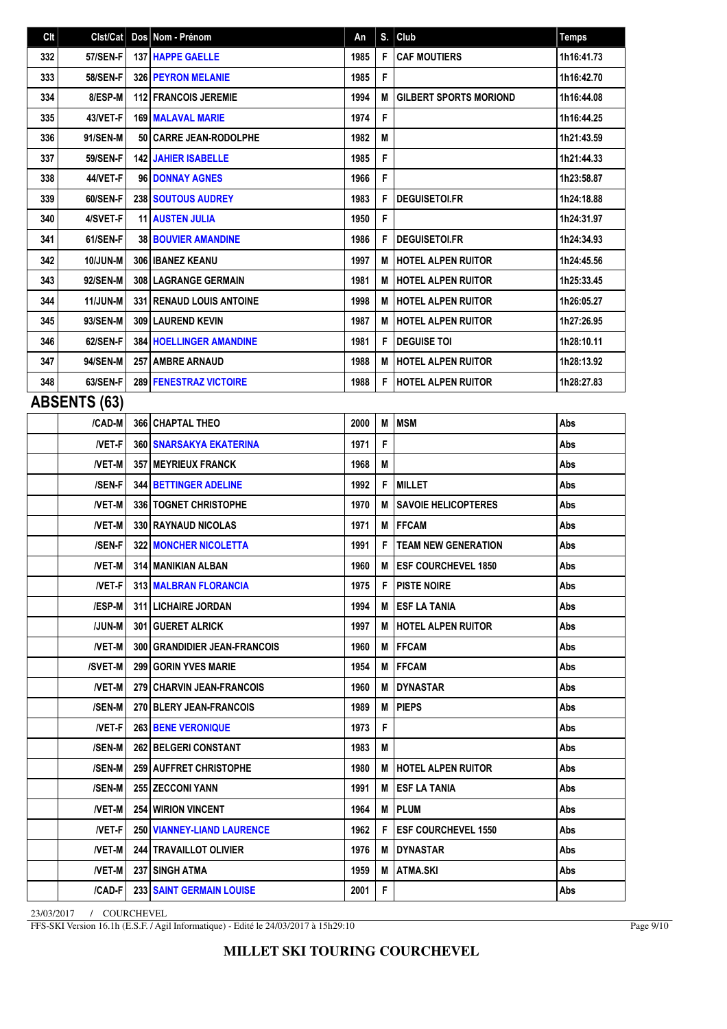| Clt | Clst/Cat            | Dos Nom - Prénom                    | An   | S. | Club                          | Temps      |
|-----|---------------------|-------------------------------------|------|----|-------------------------------|------------|
| 332 | <b>57/SEN-F</b>     | <b>137 HAPPE GAELLE</b>             | 1985 | F  | <b>CAF MOUTIERS</b>           | 1h16:41.73 |
| 333 | <b>58/SEN-F</b>     | <b>326   PEYRON MELANIE</b>         | 1985 | F  |                               | 1h16:42.70 |
| 334 | 8/ESP-M             | <b>112 FRANCOIS JEREMIE</b>         | 1994 | M  | <b>GILBERT SPORTS MORIOND</b> | 1h16:44.08 |
| 335 | 43/VET-F            | <b>169 MALAVAL MARIE</b>            | 1974 | F  |                               | 1h16:44.25 |
| 336 | 91/SEN-M            | 50 CARRE JEAN-RODOLPHE              | 1982 | M  |                               | 1h21:43.59 |
| 337 | <b>59/SEN-F</b>     | <b>142 JAHIER ISABELLE</b>          | 1985 | F  |                               | 1h21:44.33 |
| 338 | 44/VET-F            | 96 DONNAY AGNES                     | 1966 | F  |                               | 1h23:58.87 |
| 339 | 60/SEN-F            | <b>238   SOUTOUS AUDREY</b>         | 1983 | F  | <b>DEGUISETOI.FR</b>          | 1h24:18.88 |
| 340 | 4/SVET-F            | <b>11 AUSTEN JULIA</b>              | 1950 | F  |                               | 1h24:31.97 |
| 341 | 61/SEN-F            | <b>38 BOUVIER AMANDINE</b>          | 1986 | F  | <b>DEGUISETOI.FR</b>          | 1h24:34.93 |
| 342 | <b>10/JUN-M</b>     | 306 I IBANEZ KEANU                  | 1997 | M  | <b>HOTEL ALPEN RUITOR</b>     | 1h24:45.56 |
| 343 | 92/SEN-M            | <b>308 LAGRANGE GERMAIN</b>         | 1981 | M  | <b>HOTEL ALPEN RUITOR</b>     | 1h25:33.45 |
| 344 | <b>11/JUN-M</b>     | <b>331   RENAUD LOUIS ANTOINE</b>   | 1998 | M  | <b>HOTEL ALPEN RUITOR</b>     | 1h26:05.27 |
| 345 | 93/SEN-M            | <b>309 LAUREND KEVIN</b>            | 1987 | М  | <b>HOTEL ALPEN RUITOR</b>     | 1h27:26.95 |
| 346 | 62/SEN-F            | <b>384 HOELLINGER AMANDINE</b>      | 1981 | F  | <b>DEGUISE TOI</b>            | 1h28:10.11 |
| 347 | 94/SEN-M            | <b>257   AMBRE ARNAUD</b>           | 1988 | M  | <b>HOTEL ALPEN RUITOR</b>     | 1h28:13.92 |
| 348 | 63/SEN-F            | 289 FENESTRAZ VICTOIRE              | 1988 | F  | <b>HOTEL ALPEN RUITOR</b>     | 1h28:27.83 |
|     | <b>ABSENTS (63)</b> |                                     |      |    |                               |            |
|     | /CAD-M              | <b>366 CHAPTAL THEO</b>             | 2000 | M  | <b>MSM</b>                    | Abs        |
|     | <b>NET-F</b>        | <b>360 SNARSAKYA EKATERINA</b>      | 1971 | F  |                               | Abs        |
|     | <b>NET-M</b>        | <b>357   MEYRIEUX FRANCK</b>        | 1968 | M  |                               | Abs        |
|     | /SEN-F              | 344 BETTINGER ADELINE               | 1992 | F  | <b>MILLET</b>                 | Abs        |
|     | <b>NET-M</b>        | 336   TOGNET CHRISTOPHE             | 1970 | M  | <b>SAVOIE HELICOPTERES</b>    | Abs        |
|     | <b>NET-M</b>        | 330 RAYNAUD NICOLAS                 | 1971 | M  | <b>IFFCAM</b>                 | Abs        |
|     | /SEN-F              | <b>322 MONCHER NICOLETTA</b>        | 1991 | F  | <b>TEAM NEW GENERATION</b>    | Abs        |
|     | <b>NET-M</b>        | 314   MANIKIAN ALBAN                | 1960 | M  | <b>IESF COURCHEVEL 1850</b>   | Abs        |
|     | $NET-F$             | 313 MALBRAN FLORANCIA               | 1975 | F  | <b>PISTE NOIRE</b>            | Abs        |
|     | /ESP-M              | 311 LICHAIRE JORDAN                 | 1994 |    | <b>M LESF LA TANIA</b>        | Abs        |
|     | /JUN-M              | 301 GUERET ALRICK                   | 1997 | M  | <b>HOTEL ALPEN RUITOR</b>     | Abs        |
|     | /VET-M              | <b>300 GRANDIDIER JEAN-FRANCOIS</b> | 1960 |    | <b>M</b>   FFCAM              | Abs        |
|     | /SVET-M             | <b>299 GORIN YVES MARIE</b>         | 1954 | M  | <b>FFCAM</b>                  | Abs        |
|     | <b>NET-M</b>        | <b>279 CHARVIN JEAN-FRANCOIS</b>    | 1960 | M  | <b>IDYNASTAR</b>              | Abs        |
|     | /SEN-M              | 270 BLERY JEAN-FRANCOIS             | 1989 | М  | <b>PIEPS</b>                  | Abs        |
|     | <b>NET-F</b>        | <b>263 BENE VERONIQUE</b>           | 1973 | F. |                               | Abs        |
|     | /SEN-M              | <b>262   BELGERI CONSTANT</b>       | 1983 | М  |                               | Abs        |
|     | /SEN-M              | 259   AUFFRET CHRISTOPHE            | 1980 |    | <b>M</b> HOTEL ALPEN RUITOR   | Abs        |
|     | /SEN-M              | <b>255   ZECCONI YANN</b>           | 1991 | M  | <b>ESF LA TANIA</b>           | Abs        |
|     | <b>NET-M</b>        | <b>254 WIRION VINCENT</b>           | 1964 | M  | <b>PLUM</b>                   | Abs        |
|     | <b>NET-F</b>        | 250 VIANNEY-LIAND LAURENCE          | 1962 | F  | <b>IESF COURCHEVEL 1550</b>   | Abs        |
|     | <b>NET-M</b>        | <b>244   TRAVAILLOT OLIVIER</b>     | 1976 | M  | <b>DYNASTAR</b>               | Abs        |
|     | /VET-M              | 237 SINGH ATMA                      | 1959 | M  | ATMA.SKI                      | Abs        |
|     | /CAD-F              | 233 SAINT GERMAIN LOUISE            | 2001 | F. |                               | Abs        |

FFS-SKI Version 16.1h (E.S.F. / Agil Informatique) - Edité le 24/03/2017 à 15h29:10

Page 9/10